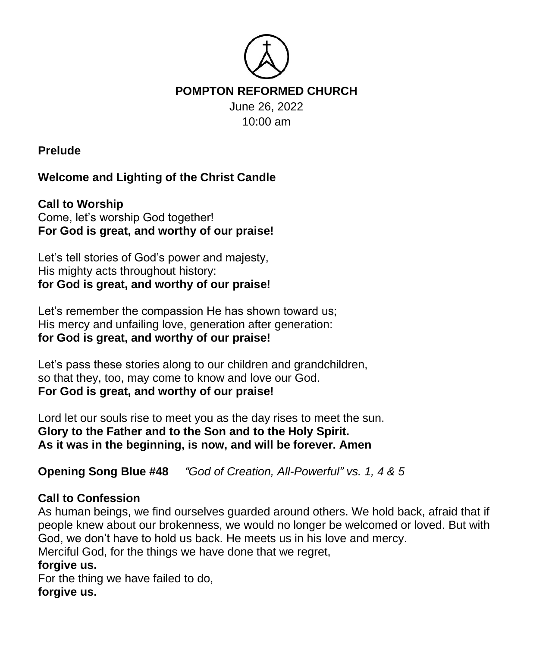

**Prelude**

# **Welcome and Lighting of the Christ Candle**

**Call to Worship** Come, let's worship God together! **For God is great, and worthy of our praise!**

Let's tell stories of God's power and majesty, His mighty acts throughout history: **for God is great, and worthy of our praise!**

Let's remember the compassion He has shown toward us; His mercy and unfailing love, generation after generation: **for God is great, and worthy of our praise!**

Let's pass these stories along to our children and grandchildren, so that they, too, may come to know and love our God. **For God is great, and worthy of our praise!**

Lord let our souls rise to meet you as the day rises to meet the sun. **Glory to the Father and to the Son and to the Holy Spirit. As it was in the beginning, is now, and will be forever. Amen**

**Opening Song Blue #48** *"God of Creation, All-Powerful" vs. 1, 4 & 5*

## **Call to Confession**

As human beings, we find ourselves guarded around others. We hold back, afraid that if people knew about our brokenness, we would no longer be welcomed or loved. But with God, we don't have to hold us back. He meets us in his love and mercy.

Merciful God, for the things we have done that we regret,

### **forgive us.**

For the thing we have failed to do, **forgive us.**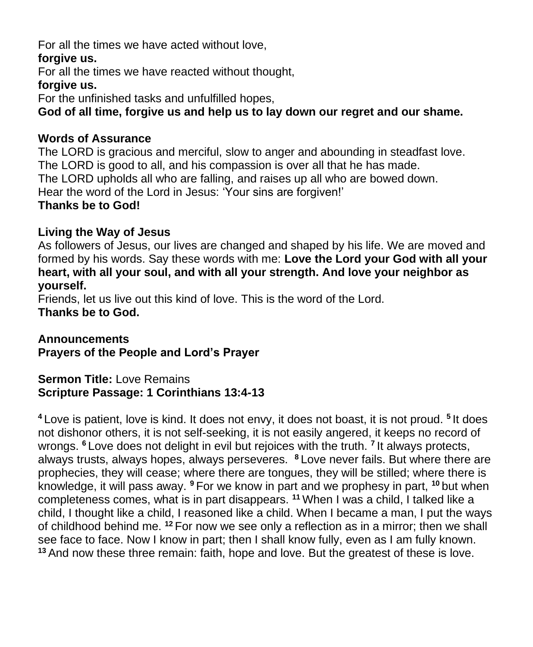For all the times we have acted without love,

### **forgive us.**

For all the times we have reacted without thought,

#### **forgive us.**

For the unfinished tasks and unfulfilled hopes,

**God of all time, forgive us and help us to lay down our regret and our shame.**

### **Words of Assurance**

The LORD is gracious and merciful, slow to anger and abounding in steadfast love. The LORD is good to all, and his compassion is over all that he has made. The LORD upholds all who are falling, and raises up all who are bowed down. Hear the word of the Lord in Jesus: 'Your sins are forgiven!' **Thanks be to God!**

## **Living the Way of Jesus**

As followers of Jesus, our lives are changed and shaped by his life. We are moved and formed by his words. Say these words with me: **Love the Lord your God with all your heart, with all your soul, and with all your strength. And love your neighbor as yourself.** 

Friends, let us live out this kind of love. This is the word of the Lord. **Thanks be to God.** 

#### **Announcements Prayers of the People and Lord's Prayer**

### **Sermon Title: Love Remains Scripture Passage: 1 Corinthians 13:4-13**

**<sup>4</sup>** Love is patient, love is kind. It does not envy, it does not boast, it is not proud. **<sup>5</sup>** It does not dishonor others, it is not self-seeking, it is not easily angered, it keeps no record of wrongs. **<sup>6</sup>** Love does not delight in evil but rejoices with the truth. **<sup>7</sup>** It always protects, always trusts, always hopes, always perseveres. **<sup>8</sup>** Love never fails. But where there are prophecies, they will cease; where there are tongues, they will be stilled; where there is knowledge, it will pass away. **<sup>9</sup>** For we know in part and we prophesy in part, **<sup>10</sup>** but when completeness comes, what is in part disappears. **<sup>11</sup>** When I was a child, I talked like a child, I thought like a child, I reasoned like a child. When I became a man, I put the ways of childhood behind me. **<sup>12</sup>** For now we see only a reflection as in a mirror; then we shall see face to face. Now I know in part; then I shall know fully, even as I am fully known. **<sup>13</sup>** And now these three remain: faith, hope and love. But the greatest of these is love.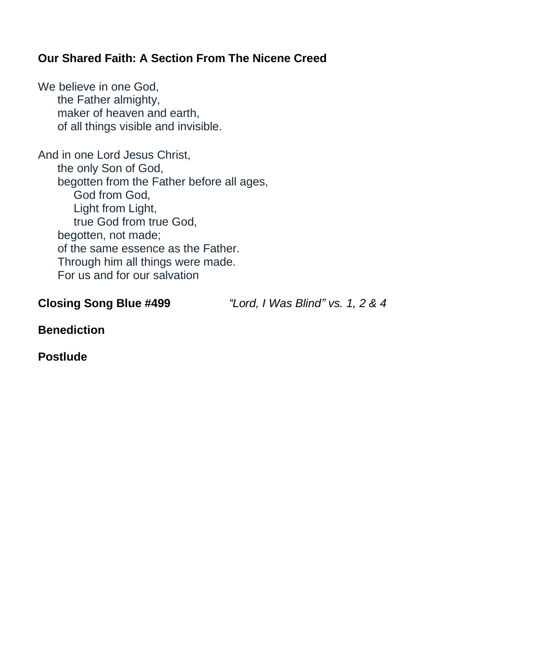## **Our Shared Faith: A Section From The Nicene Creed**

We believe in one God. the Father almighty, maker of heaven and earth, of all things visible and invisible.

And in one Lord Jesus Christ, the only Son of God, begotten from the Father before all ages, God from God, Light from Light, true God from true God, begotten, not made; of the same essence as the Father. Through him all things were made. For us and for our salvation

**Closing Song Blue #499** *"Lord, I Was Blind" vs. 1, 2 & 4*

**Benediction**

**Postlude**